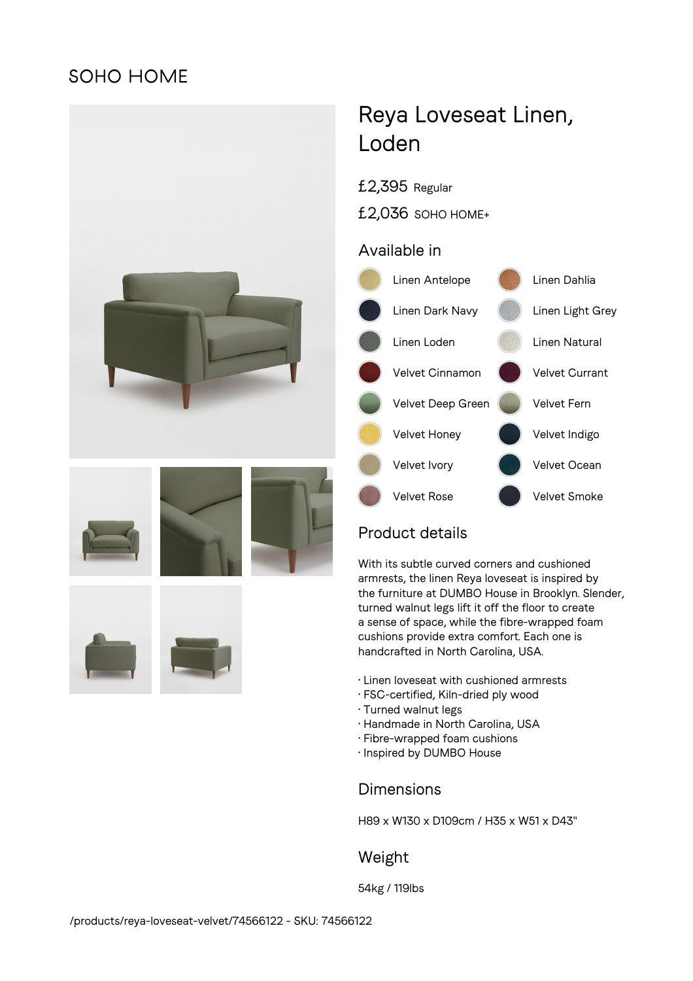## **SOHO HOME**











# Reya Loveseat Linen, Loden

£2,395 Regular

£2,036 SOHO HOME+

### Available in



## Product details

With its subtle curved corners and cushioned armrests, the linen Reya loveseat is inspired by the furniture at DUMBO House in Brooklyn. Slender, turned walnut legs lift it off the floor to create a sense of space, while the fibre-wrapped foam cushions provide extra comfort. Each one is handcrafted in North Carolina, USA.

- Linen loveseat with cushioned armrests
- FSC-certified, Kiln-dried ply wood
- Turned walnut legs
- Handmade in North Carolina, USA
- Fibre-wrapped foam cushions
- Inspired by DUMBO House

## Dimensions

H89 x W130 x D109cm / H35 x W51 x D43"

## Weight

54kg / 119lbs